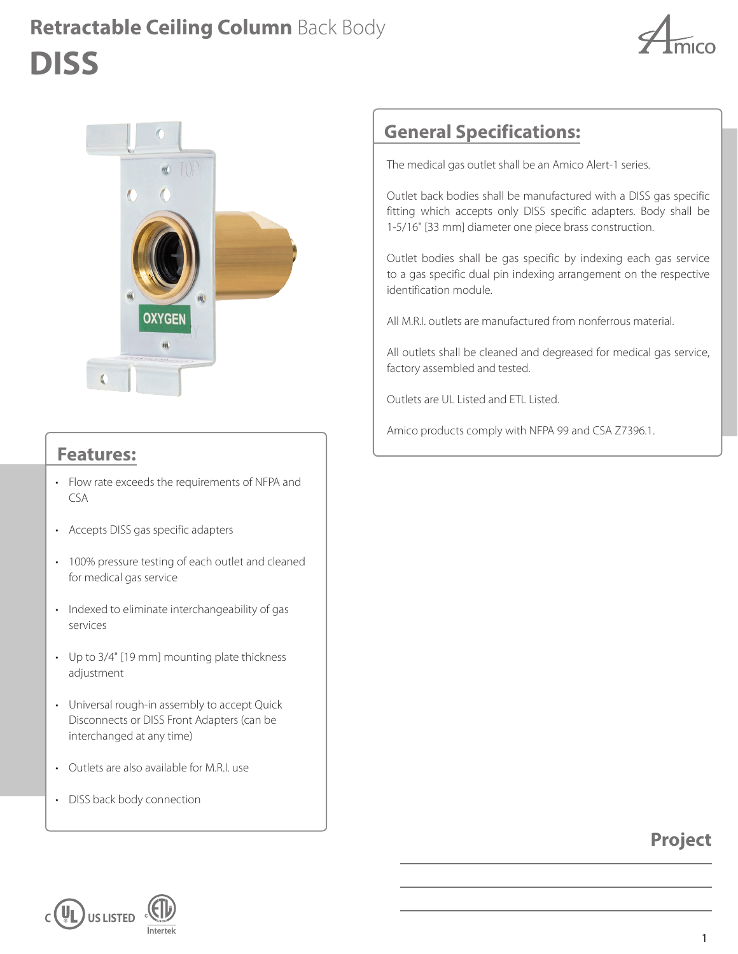## **DISS Retractable Ceiling Column** Back Body





#### **Features:**

- Flow rate exceeds the requirements of NFPA and CSA
- Accepts DISS gas specific adapters
- 100% pressure testing of each outlet and cleaned for medical gas service
- Indexed to eliminate interchangeability of gas services
- Up to 3/4" [19 mm] mounting plate thickness adjustment
- Universal rough-in assembly to accept Quick Disconnects or DISS Front Adapters (can be interchanged at any time)
- Outlets are also available for M.R.I. use
- DISS back body connection

## **General Specifications:**

The medical gas outlet shall be an Amico Alert-1 series.

Outlet back bodies shall be manufactured with a DISS gas specific fitting which accepts only DISS specific adapters. Body shall be 1-5/16" [33 mm] diameter one piece brass construction.

Outlet bodies shall be gas specific by indexing each gas service to a gas specific dual pin indexing arrangement on the respective identification module.

All M.R.I. outlets are manufactured from nonferrous material.

All outlets shall be cleaned and degreased for medical gas service, factory assembled and tested.

Outlets are UL Listed and ETL Listed.

Amico products comply with NFPA 99 and CSA Z7396.1.

### **Project**